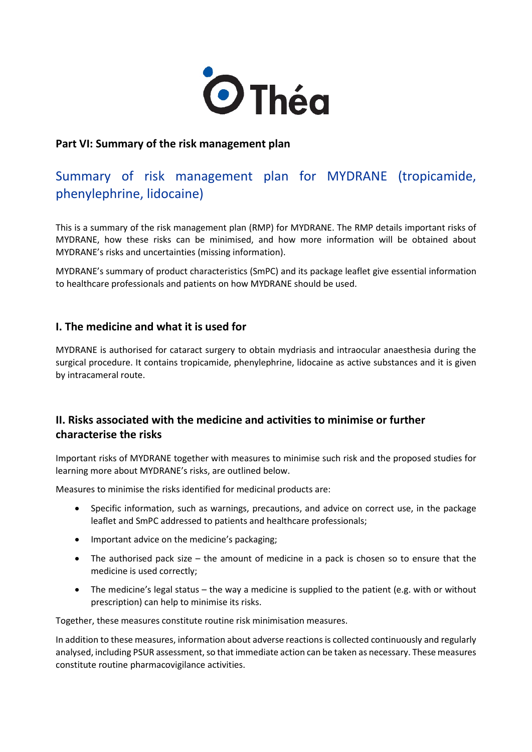

## **Part VI: Summary of the risk management plan**

# Summary of risk management plan for MYDRANE (tropicamide, phenylephrine, lidocaine)

This is a summary of the risk management plan (RMP) for MYDRANE. The RMP details important risks of MYDRANE, how these risks can be minimised, and how more information will be obtained about MYDRANE's risks and uncertainties (missing information).

MYDRANE's summary of product characteristics (SmPC) and its package leaflet give essential information to healthcare professionals and patients on how MYDRANE should be used.

## **I. The medicine and what it is used for**

MYDRANE is authorised for cataract surgery to obtain mydriasis and intraocular anaesthesia during the surgical procedure. It contains tropicamide, phenylephrine, lidocaine as active substances and it is given by intracameral route.

## **II. Risks associated with the medicine and activities to minimise or further characterise the risks**

Important risks of MYDRANE together with measures to minimise such risk and the proposed studies for learning more about MYDRANE's risks, are outlined below.

Measures to minimise the risks identified for medicinal products are:

- Specific information, such as warnings, precautions, and advice on correct use, in the package leaflet and SmPC addressed to patients and healthcare professionals;
- Important advice on the medicine's packaging;
- The authorised pack size the amount of medicine in a pack is chosen so to ensure that the medicine is used correctly;
- The medicine's legal status the way a medicine is supplied to the patient (e.g. with or without prescription) can help to minimise its risks.

Together, these measures constitute routine risk minimisation measures.

In addition to these measures, information about adverse reactions is collected continuously and regularly analysed, including PSUR assessment, so that immediate action can be taken as necessary. These measures constitute routine pharmacovigilance activities.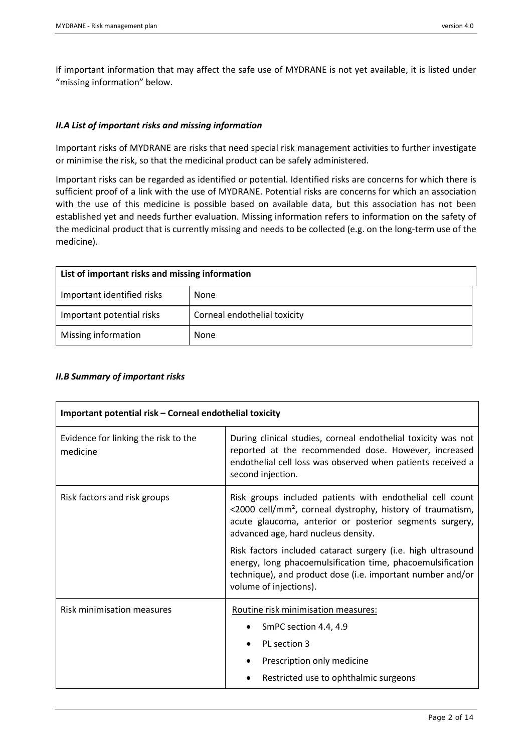If important information that may affect the safe use of MYDRANE is not yet available, it is listed under "missing information" below.

### *II.A List of important risks and missing information*

Important risks of MYDRANE are risks that need special risk management activities to further investigate or minimise the risk, so that the medicinal product can be safely administered.

Important risks can be regarded as identified or potential. Identified risks are concerns for which there is sufficient proof of a link with the use of MYDRANE. Potential risks are concerns for which an association with the use of this medicine is possible based on available data, but this association has not been established yet and needs further evaluation. Missing information refers to information on the safety of the medicinal product that is currently missing and needs to be collected (e.g. on the long-term use of the medicine).

| List of important risks and missing information |                              |  |
|-------------------------------------------------|------------------------------|--|
| Important identified risks                      | None                         |  |
| Important potential risks                       | Corneal endothelial toxicity |  |
| Missing information                             | None                         |  |

#### *II.B Summary of important risks*

| Important potential risk – Corneal endothelial toxicity |                                                                                                                                                                                                                                       |  |
|---------------------------------------------------------|---------------------------------------------------------------------------------------------------------------------------------------------------------------------------------------------------------------------------------------|--|
| Evidence for linking the risk to the<br>medicine        | During clinical studies, corneal endothelial toxicity was not<br>reported at the recommended dose. However, increased<br>endothelial cell loss was observed when patients received a<br>second injection.                             |  |
| Risk factors and risk groups                            | Risk groups included patients with endothelial cell count<br><2000 cell/mm <sup>2</sup> , corneal dystrophy, history of traumatism,<br>acute glaucoma, anterior or posterior segments surgery,<br>advanced age, hard nucleus density. |  |
|                                                         | Risk factors included cataract surgery (i.e. high ultrasound<br>energy, long phacoemulsification time, phacoemulsification<br>technique), and product dose (i.e. important number and/or<br>volume of injections).                    |  |
| <b>Risk minimisation measures</b>                       | Routine risk minimisation measures:<br>SmPC section 4.4, 4.9<br>PL section 3<br>Prescription only medicine<br>Restricted use to ophthalmic surgeons                                                                                   |  |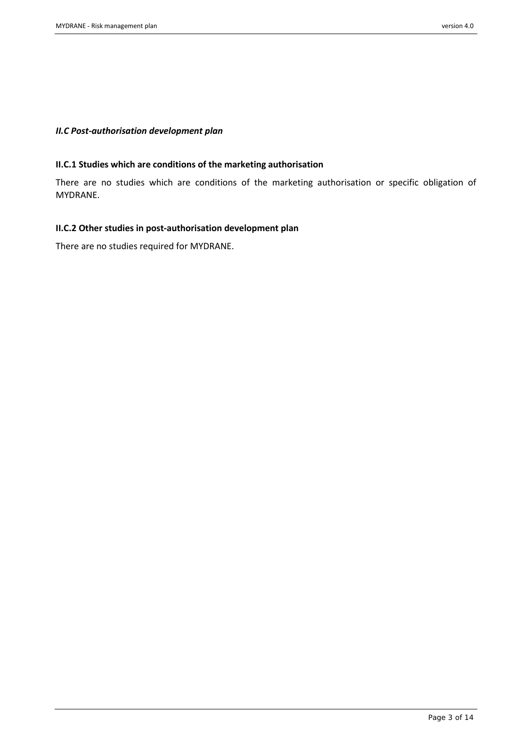### *II.C Post-authorisation development plan*

### **II.C.1 Studies which are conditions of the marketing authorisation**

There are no studies which are conditions of the marketing authorisation or specific obligation of MYDRANE.

### **II.C.2 Other studies in post-authorisation development plan**

There are no studies required for MYDRANE.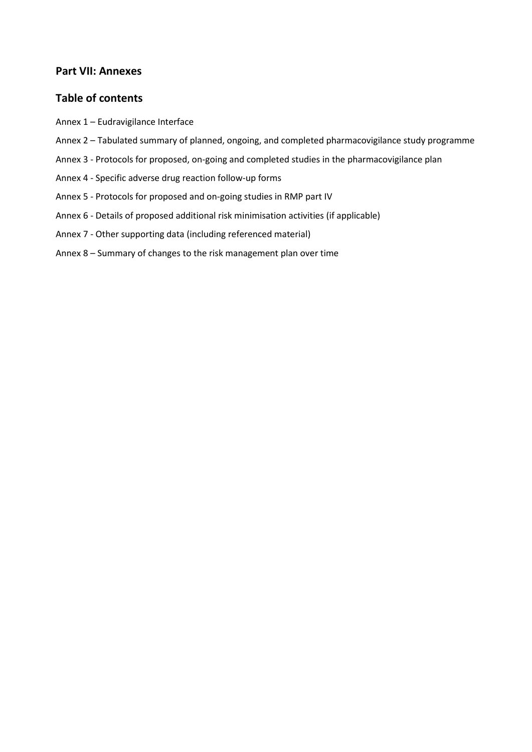## **Part VII: Annexes**

## **Table of contents**

- Annex 1 Eudravigilance Interface
- Annex 2 Tabulated summary of planned, ongoing, and completed pharmacovigilance study programme
- Annex 3 Protocols for proposed, on-going and completed studies in the pharmacovigilance plan
- Annex 4 Specific adverse drug reaction follow-up forms
- Annex 5 Protocols for proposed and on-going studies in RMP part IV
- Annex 6 Details of proposed additional risk minimisation activities (if applicable)
- Annex 7 Other supporting data (including referenced material)
- Annex 8 Summary of changes to the risk management plan over time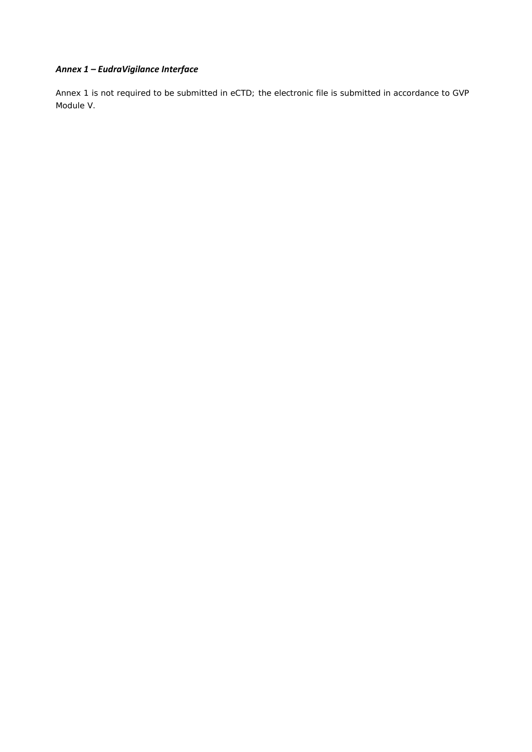## *Annex 1 – EudraVigilance Interface*

Annex 1 is not required to be submitted in eCTD; the electronic file is submitted in accordance to GVP Module V.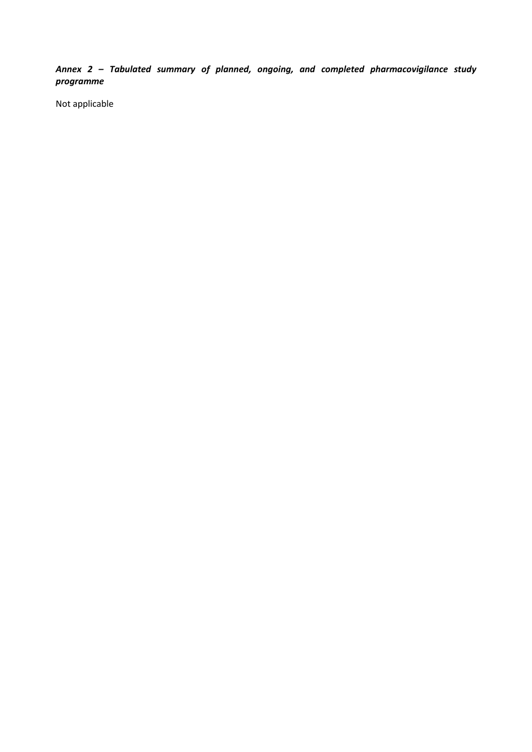*Annex 2 – Tabulated summary of planned, ongoing, and completed pharmacovigilance study programme*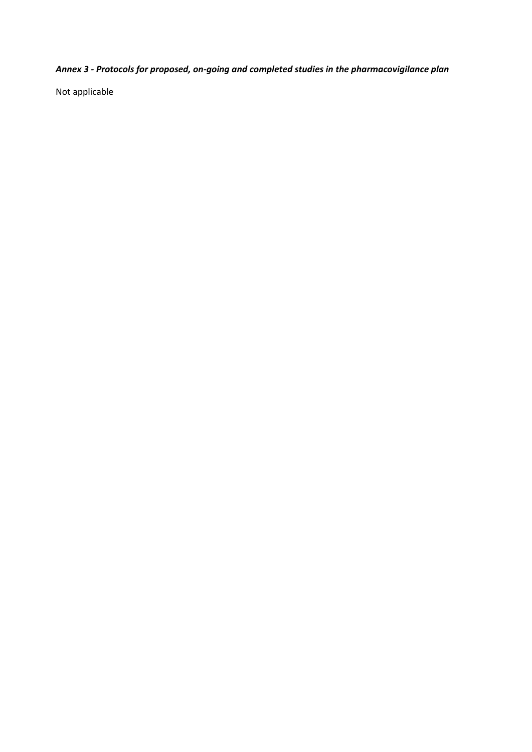*Annex 3 - Protocols for proposed, on-going and completed studies in the pharmacovigilance plan*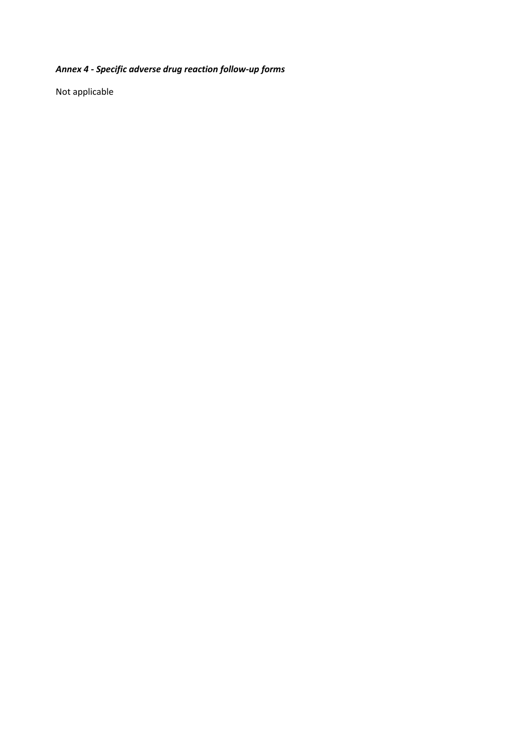# *Annex 4 - Specific adverse drug reaction follow-up forms*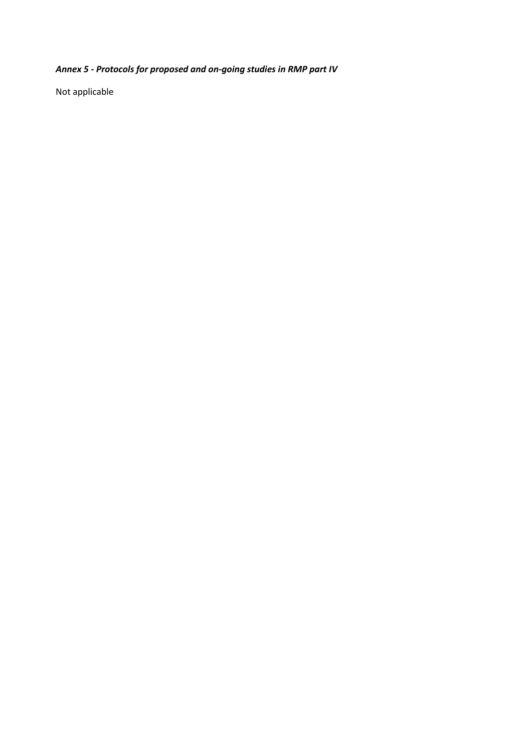# *Annex 5 - Protocols for proposed and on-going studies in RMP part IV*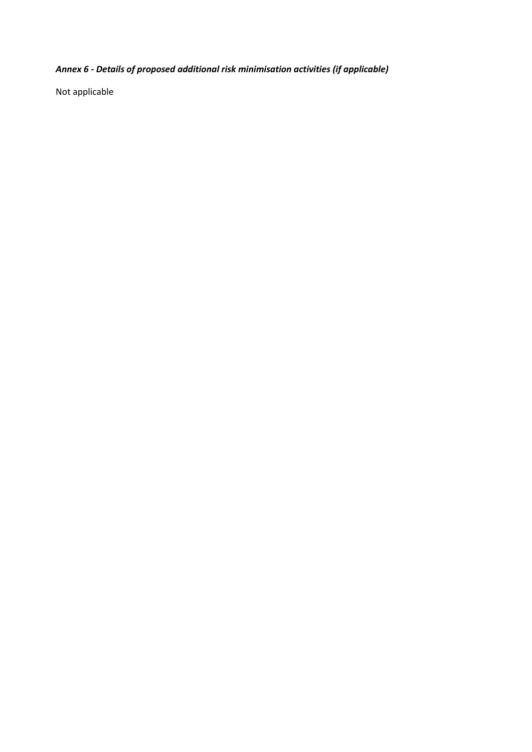# *Annex 6 - Details of proposed additional risk minimisation activities (if applicable)*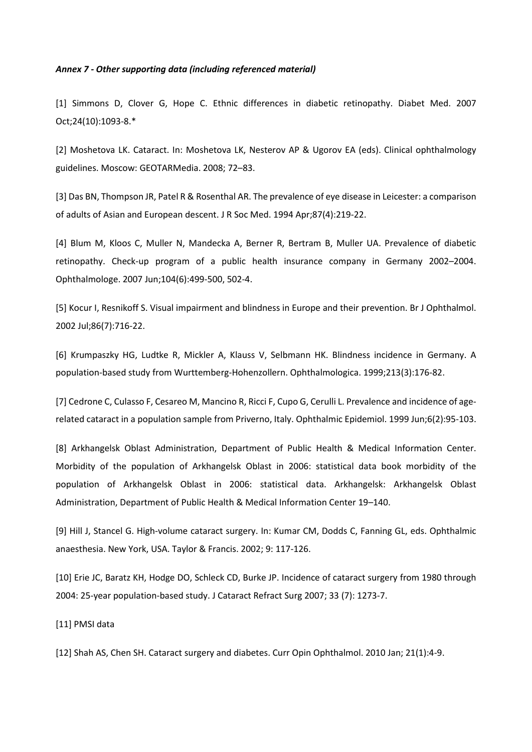#### *Annex 7 - Other supporting data (including referenced material)*

[1] Simmons D, Clover G, Hope C. Ethnic differences in diabetic retinopathy. Diabet Med. 2007 Oct;24(10):1093-8.\*

[2] Moshetova LK. Cataract. In: Moshetova LK, Nesterov AP & Ugorov EA (eds). Clinical ophthalmology guidelines. Moscow: GEOTARMedia. 2008; 72–83.

[3] Das BN, Thompson JR, Patel R & Rosenthal AR. The prevalence of eye disease in Leicester: a comparison of adults of Asian and European descent. J R Soc Med. 1994 Apr;87(4):219-22.

[4] Blum M, Kloos C, Muller N, Mandecka A, Berner R, Bertram B, Muller UA. Prevalence of diabetic retinopathy. Check-up program of a public health insurance company in Germany 2002–2004. Ophthalmologe. 2007 Jun;104(6):499-500, 502-4.

[5] Kocur I, Resnikoff S. Visual impairment and blindness in Europe and their prevention. Br J Ophthalmol. 2002 Jul;86(7):716-22.

[6] Krumpaszky HG, Ludtke R, Mickler A, Klauss V, Selbmann HK. Blindness incidence in Germany. A population-based study from Wurttemberg-Hohenzollern. Ophthalmologica. 1999;213(3):176-82.

[7] Cedrone C, Culasso F, Cesareo M, Mancino R, Ricci F, Cupo G, Cerulli L. Prevalence and incidence of agerelated cataract in a population sample from Priverno, Italy. Ophthalmic Epidemiol. 1999 Jun;6(2):95-103.

[8] Arkhangelsk Oblast Administration, Department of Public Health & Medical Information Center. Morbidity of the population of Arkhangelsk Oblast in 2006: statistical data book morbidity of the population of Arkhangelsk Oblast in 2006: statistical data. Arkhangelsk: Arkhangelsk Oblast Administration, Department of Public Health & Medical Information Center 19–140.

[9] Hill J, Stancel G. High-volume cataract surgery. In: Kumar CM, Dodds C, Fanning GL, eds. Ophthalmic anaesthesia. New York, USA. Taylor & Francis. 2002; 9: 117-126.

[10] Erie JC, Baratz KH, Hodge DO, Schleck CD, Burke JP. Incidence of cataract surgery from 1980 through 2004: 25-year population-based study. J Cataract Refract Surg 2007; 33 (7): 1273-7.

[11] PMSI data

[12] Shah AS, Chen SH. Cataract surgery and diabetes. Curr Opin Ophthalmol. 2010 Jan; 21(1):4-9.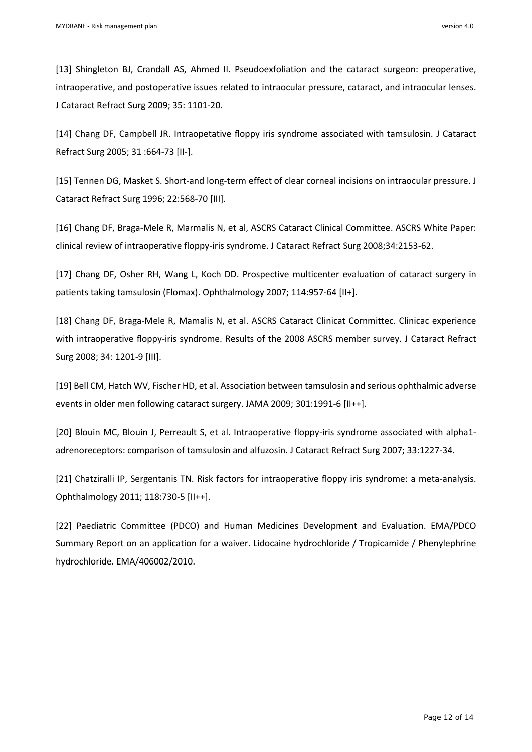[13] Shingleton BJ, Crandall AS, Ahmed II. Pseudoexfoliation and the cataract surgeon: preoperative, intraoperative, and postoperative issues related to intraocular pressure, cataract, and intraocular lenses. J Cataract Refract Surg 2009; 35: 1101-20.

[14] Chang DF, Campbell JR. Intraopetative floppy iris syndrome associated with tamsulosin. J Cataract Refract Surg 2005; 31 :664-73 [II-].

[15] Tennen DG, Masket S. Short-and long-term effect of clear corneal incisions on intraocular pressure. J Cataract Refract Surg 1996; 22:568-70 [III].

[16] Chang DF, Braga-Mele R, Marmalis N, et al, ASCRS Cataract Clinical Committee. ASCRS White Paper: clinical review of intraoperative floppy-iris syndrome. J Cataract Refract Surg 2008;34:2153-62.

[17] Chang DF, Osher RH, Wang L, Koch DD. Prospective multicenter evaluation of cataract surgery in patients taking tamsulosin (Flomax). Ophthalmology 2007; 114:957-64 [II+].

[18] Chang DF, Braga-Mele R, Mamalis N, et al. ASCRS Cataract Clinicat Cornmittec. Clinicac experience with intraoperative floppy-iris syndrome. Results of the 2008 ASCRS member survey. J Cataract Refract Surg 2008; 34: 1201-9 [III].

[19] Bell CM, Hatch WV, Fischer HD, et al. Association between tamsulosin and serious ophthalmic adverse events in older men following cataract surgery. JAMA 2009; 301:1991-6 [II++].

[20] Blouin MC, Blouin J, Perreault S, et al. Intraoperative floppy-iris syndrome associated with alpha1 adrenoreceptors: comparison of tamsulosin and alfuzosin. J Cataract Refract Surg 2007; 33:1227-34.

[21] Chatziralli IP, Sergentanis TN. Risk factors for intraoperative floppy iris syndrome: a meta-analysis. Ophthalmology 2011; 118:730-5 [II++].

[22] Paediatric Committee (PDCO) and Human Medicines Development and Evaluation. EMA/PDCO Summary Report on an application for a waiver. Lidocaine hydrochloride / Tropicamide / Phenylephrine hydrochloride. EMA/406002/2010.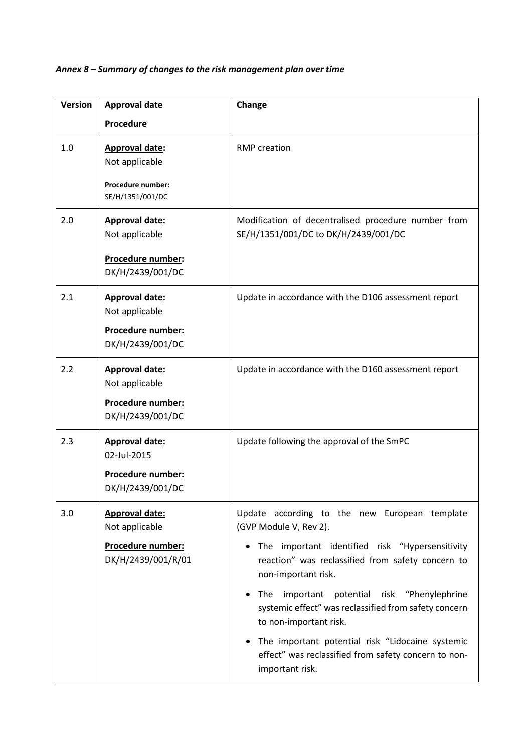## *Annex 8 – Summary of changes to the risk management plan over time*

| <b>Version</b> | <b>Approval date</b>                                                               | Change                                                                                                                                                                                                                                                                                                                                                                                                                                                                          |
|----------------|------------------------------------------------------------------------------------|---------------------------------------------------------------------------------------------------------------------------------------------------------------------------------------------------------------------------------------------------------------------------------------------------------------------------------------------------------------------------------------------------------------------------------------------------------------------------------|
|                | Procedure                                                                          |                                                                                                                                                                                                                                                                                                                                                                                                                                                                                 |
|                |                                                                                    |                                                                                                                                                                                                                                                                                                                                                                                                                                                                                 |
| 1.0            | <b>Approval date:</b><br>Not applicable<br>Procedure number:<br>SE/H/1351/001/DC   | <b>RMP</b> creation                                                                                                                                                                                                                                                                                                                                                                                                                                                             |
| 2.0            | <b>Approval date:</b><br>Not applicable<br>Procedure number:<br>DK/H/2439/001/DC   | Modification of decentralised procedure number from<br>SE/H/1351/001/DC to DK/H/2439/001/DC                                                                                                                                                                                                                                                                                                                                                                                     |
| 2.1            | Approval date:<br>Not applicable<br>Procedure number:<br>DK/H/2439/001/DC          | Update in accordance with the D106 assessment report                                                                                                                                                                                                                                                                                                                                                                                                                            |
| 2.2            | Approval date:<br>Not applicable<br>Procedure number:<br>DK/H/2439/001/DC          | Update in accordance with the D160 assessment report                                                                                                                                                                                                                                                                                                                                                                                                                            |
| 2.3            | Approval date:<br>02-Jul-2015<br>Procedure number:<br>DK/H/2439/001/DC             | Update following the approval of the SmPC                                                                                                                                                                                                                                                                                                                                                                                                                                       |
| 3.0            | <b>Approval date:</b><br>Not applicable<br>Procedure number:<br>DK/H/2439/001/R/01 | Update according to the new European template<br>(GVP Module V, Rev 2).<br>• The important identified risk "Hypersensitivity<br>reaction" was reclassified from safety concern to<br>non-important risk.<br>The<br>important<br>potential risk "Phenylephrine<br>systemic effect" was reclassified from safety concern<br>to non-important risk.<br>The important potential risk "Lidocaine systemic<br>effect" was reclassified from safety concern to non-<br>important risk. |